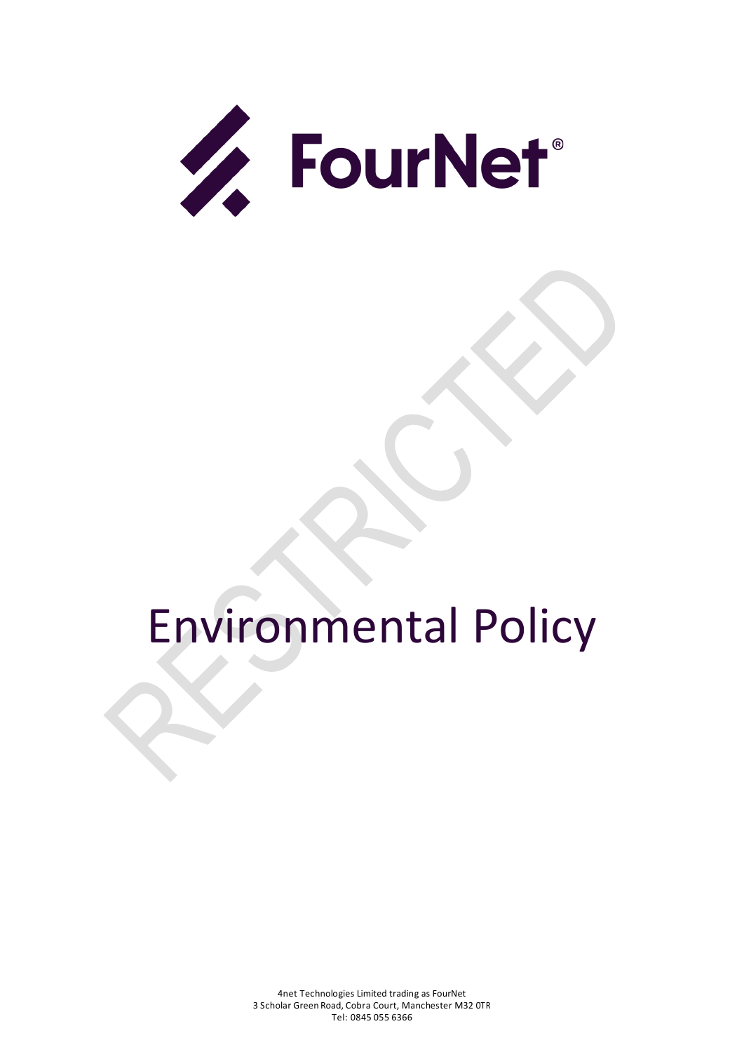

# Environmental Policy

4net Technologies Limited trading as FourNet 3 Scholar Green Road, Cobra Court, Manchester M32 0TR Tel: 0845 055 6366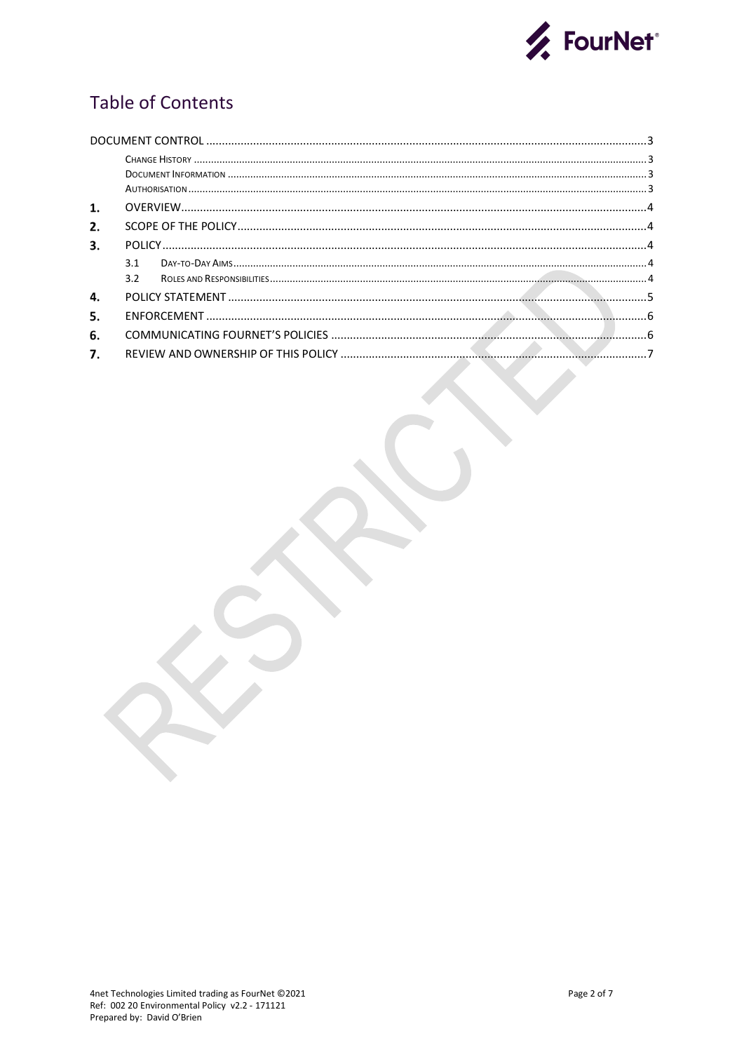

# **Table of Contents**

| 1. |     |  |  |  |  |
|----|-----|--|--|--|--|
| 2. |     |  |  |  |  |
| 3. |     |  |  |  |  |
|    | 31  |  |  |  |  |
|    | 3.2 |  |  |  |  |
| 4. |     |  |  |  |  |
| 5. |     |  |  |  |  |
| 6. |     |  |  |  |  |
| 7. |     |  |  |  |  |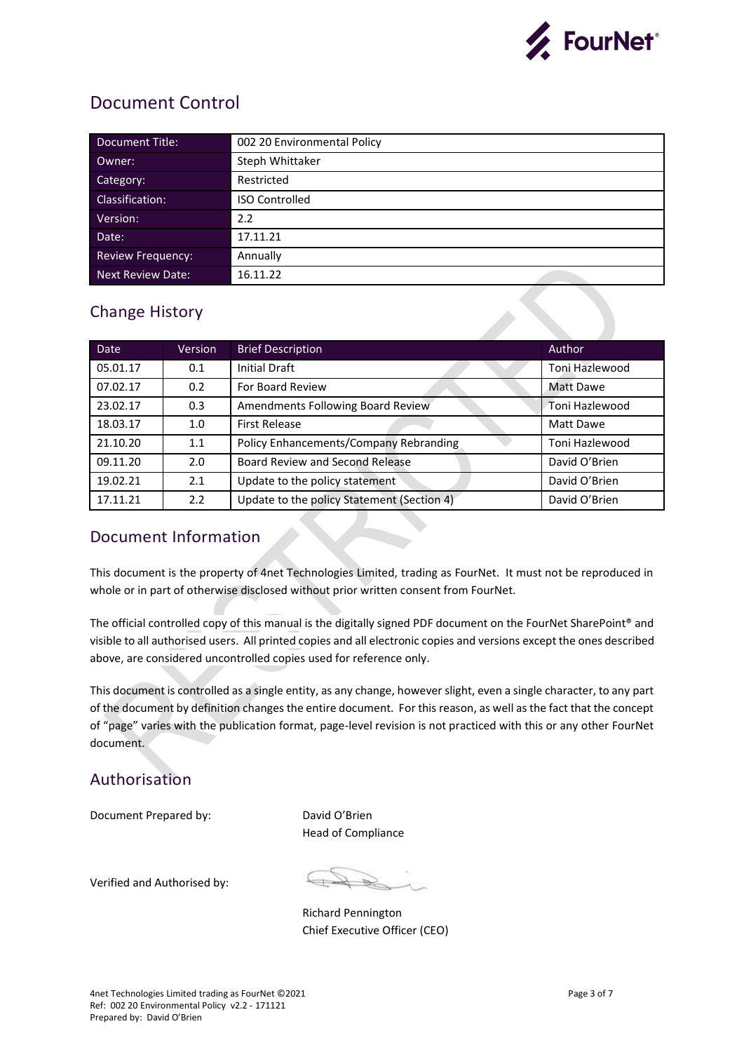

## <span id="page-2-0"></span>Document Control

| Document Title:          | 002 20 Environmental Policy |
|--------------------------|-----------------------------|
| Owner:                   | Steph Whittaker             |
| Category:                | Restricted                  |
| Classification:          | <b>ISO Controlled</b>       |
| Version:                 | 2.2                         |
| Date:                    | 17.11.21                    |
| <b>Review Frequency:</b> | Annually                    |
| Next Review Date:        | 16.11.22                    |

## <span id="page-2-1"></span>Change History

| <b>Date</b> | <b>Version</b>   | <b>Brief Description</b>                   | Author           |
|-------------|------------------|--------------------------------------------|------------------|
| 05.01.17    | 0.1              | <b>Initial Draft</b>                       | Toni Hazlewood   |
| 07.02.17    | 0.2              | For Board Review                           | <b>Matt Dawe</b> |
| 23.02.17    | 0.3              | Amendments Following Board Review          | Toni Hazlewood   |
| 18.03.17    | 1.0              | <b>First Release</b>                       | Matt Dawe        |
| 21.10.20    | 1.1              | Policy Enhancements/Company Rebranding     | Toni Hazlewood   |
| 09.11.20    | 2.0              | Board Review and Second Release            | David O'Brien    |
| 19.02.21    | 2.1              | Update to the policy statement             | David O'Brien    |
| 17.11.21    | $2.2\phantom{0}$ | Update to the policy Statement (Section 4) | David O'Brien    |

## <span id="page-2-2"></span>Document Information

This document is the property of 4net Technologies Limited, trading as FourNet. It must not be reproduced in whole or in part of otherwise disclosed without prior written consent from FourNet.

The official controlled copy of this manual is the digitally signed PDF document on the FourNet SharePoint® and visible to all authorised users. All printed copies and all electronic copies and versions except the ones described above, are considered uncontrolled copies used for reference only.

This document is controlled as a single entity, as any change, however slight, even a single character, to any part of the document by definition changes the entire document. For this reason, as well as the fact that the concept of "page" varies with the publication format, page-level revision is not practiced with this or any other FourNet document.

## <span id="page-2-3"></span>Authorisation

Document Prepared by: David O'Brien

Head of Compliance

Verified and Authorised by:

Richard Pennington Chief Executive Officer (CEO)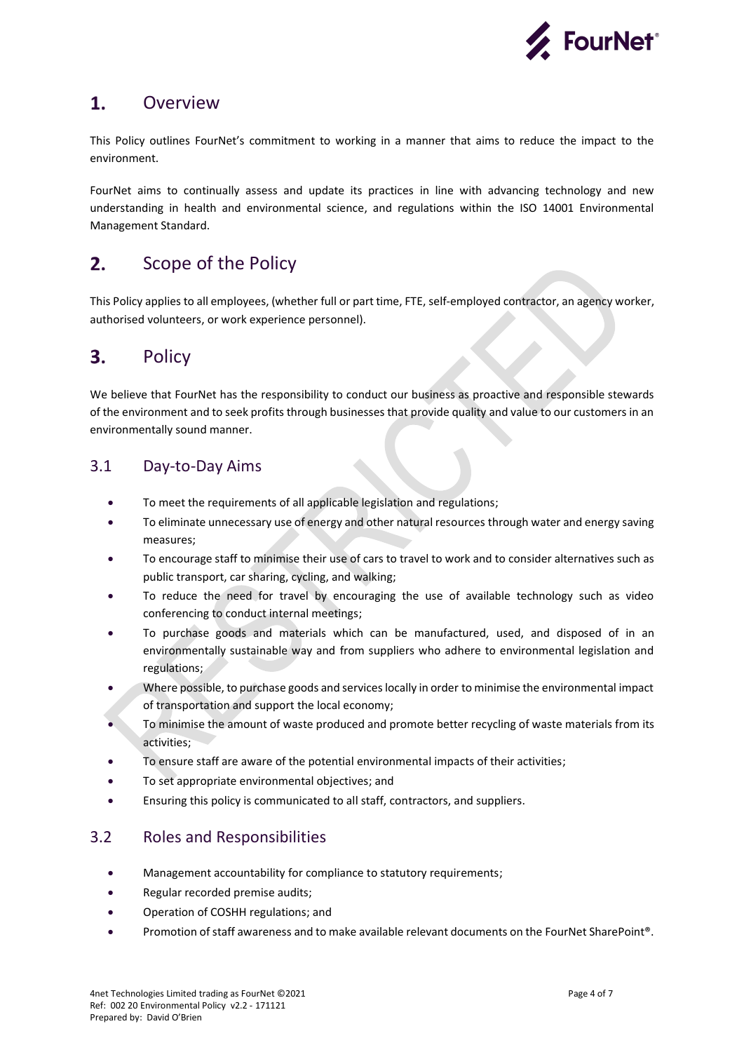

#### <span id="page-3-0"></span> $1.$ **Overview**

This Policy outlines FourNet's commitment to working in a manner that aims to reduce the impact to the environment.

FourNet aims to continually assess and update its practices in line with advancing technology and new understanding in health and environmental science, and regulations within the ISO 14001 Environmental Management Standard.

#### <span id="page-3-1"></span> $2.$ Scope of the Policy

This Policy applies to all employees, (whether full or part time, FTE, self-employed contractor, an agency worker, authorised volunteers, or work experience personnel).

#### <span id="page-3-2"></span> $3.$ Policy

We believe that FourNet has the responsibility to conduct our business as proactive and responsible stewards of the environment and to seek profits through businesses that provide quality and value to our customers in an environmentally sound manner.

### <span id="page-3-3"></span>3.1 Day-to-Day Aims

- To meet the requirements of all applicable legislation and regulations;
- To eliminate unnecessary use of energy and other natural resources through water and energy saving measures;
- To encourage staff to minimise their use of cars to travel to work and to consider alternatives such as public transport, car sharing, cycling, and walking;
- To reduce the need for travel by encouraging the use of available technology such as video conferencing to conduct internal meetings;
- To purchase goods and materials which can be manufactured, used, and disposed of in an environmentally sustainable way and from suppliers who adhere to environmental legislation and regulations;
- Where possible, to purchase goods and services locally in order to minimise the environmental impact of transportation and support the local economy;
- To minimise the amount of waste produced and promote better recycling of waste materials from its activities;
- To ensure staff are aware of the potential environmental impacts of their activities;
- To set appropriate environmental objectives; and
- Ensuring this policy is communicated to all staff, contractors, and suppliers.

## <span id="page-3-4"></span>3.2 Roles and Responsibilities

- Management accountability for compliance to statutory requirements;
- Regular recorded premise audits;
- Operation of COSHH regulations; and
- Promotion of staff awareness and to make available relevant documents on the FourNet SharePoint®.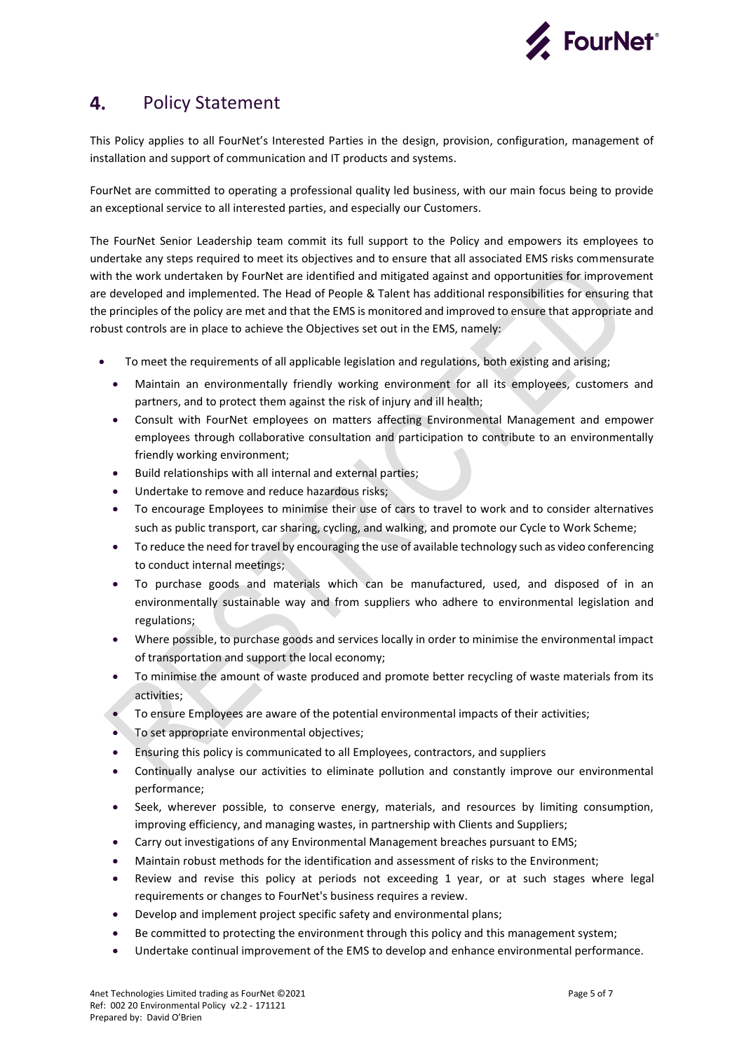

#### <span id="page-4-0"></span>4. Policy Statement

This Policy applies to all FourNet's Interested Parties in the design, provision, configuration, management of installation and support of communication and IT products and systems.

FourNet are committed to operating a professional quality led business, with our main focus being to provide an exceptional service to all interested parties, and especially our Customers.

The FourNet Senior Leadership team commit its full support to the Policy and empowers its employees to undertake any steps required to meet its objectives and to ensure that all associated EMS risks commensurate with the work undertaken by FourNet are identified and mitigated against and opportunities for improvement are developed and implemented. The Head of People & Talent has additional responsibilities for ensuring that the principles of the policy are met and that the EMS is monitored and improved to ensure that appropriate and robust controls are in place to achieve the Objectives set out in the EMS, namely:

- To meet the requirements of all applicable legislation and regulations, both existing and arising;
	- Maintain an environmentally friendly working environment for all its employees, customers and partners, and to protect them against the risk of injury and ill health;
	- Consult with FourNet employees on matters affecting Environmental Management and empower employees through collaborative consultation and participation to contribute to an environmentally friendly working environment;
	- Build relationships with all internal and external parties;
	- Undertake to remove and reduce hazardous risks;
	- To encourage Employees to minimise their use of cars to travel to work and to consider alternatives such as public transport, car sharing, cycling, and walking, and promote our Cycle to Work Scheme;
	- To reduce the need for travel by encouraging the use of available technology such as video conferencing to conduct internal meetings;
	- To purchase goods and materials which can be manufactured, used, and disposed of in an environmentally sustainable way and from suppliers who adhere to environmental legislation and regulations;
	- Where possible, to purchase goods and services locally in order to minimise the environmental impact of transportation and support the local economy;
	- To minimise the amount of waste produced and promote better recycling of waste materials from its activities;
	- To ensure Employees are aware of the potential environmental impacts of their activities;
	- To set appropriate environmental objectives;
	- Ensuring this policy is communicated to all Employees, contractors, and suppliers
	- Continually analyse our activities to eliminate pollution and constantly improve our environmental performance;
	- Seek, wherever possible, to conserve energy, materials, and resources by limiting consumption, improving efficiency, and managing wastes, in partnership with Clients and Suppliers;
	- Carry out investigations of any Environmental Management breaches pursuant to EMS;
	- Maintain robust methods for the identification and assessment of risks to the Environment;
	- Review and revise this policy at periods not exceeding 1 year, or at such stages where legal requirements or changes to FourNet's business requires a review.
	- Develop and implement project specific safety and environmental plans;
	- Be committed to protecting the environment through this policy and this management system;
	- Undertake continual improvement of the EMS to develop and enhance environmental performance.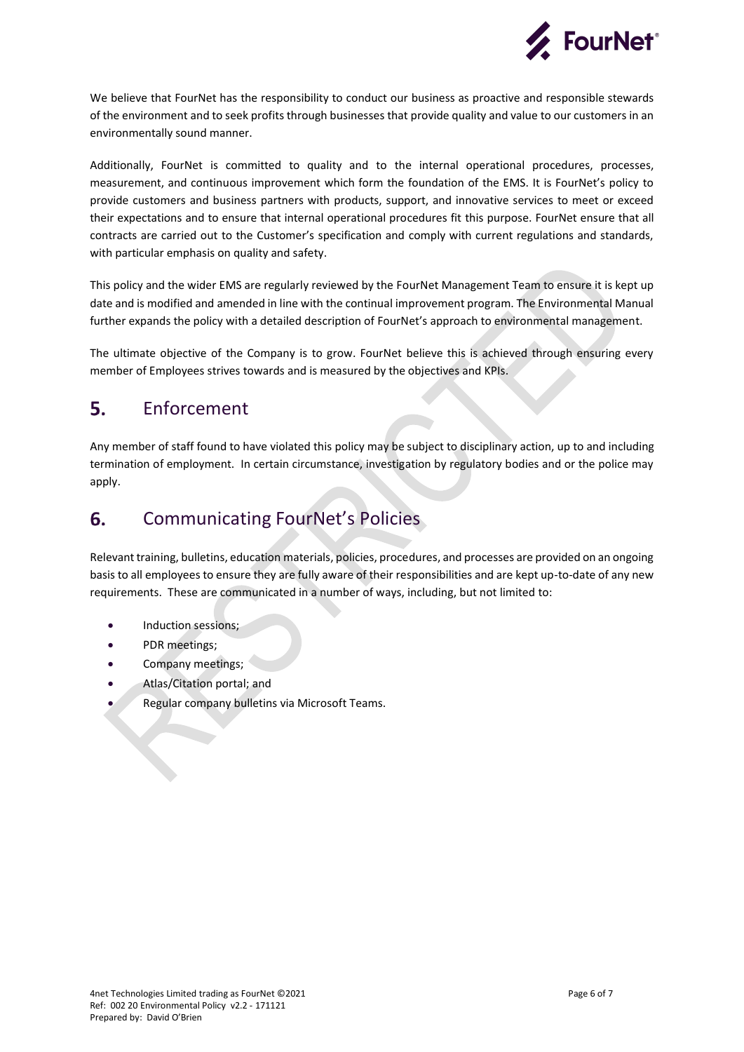

We believe that FourNet has the responsibility to conduct our business as proactive and responsible stewards of the environment and to seek profits through businesses that provide quality and value to our customers in an environmentally sound manner.

Additionally, FourNet is committed to quality and to the internal operational procedures, processes, measurement, and continuous improvement which form the foundation of the EMS. It is FourNet's policy to provide customers and business partners with products, support, and innovative services to meet or exceed their expectations and to ensure that internal operational procedures fit this purpose. FourNet ensure that all contracts are carried out to the Customer's specification and comply with current regulations and standards, with particular emphasis on quality and safety.

This policy and the wider EMS are regularly reviewed by the FourNet Management Team to ensure it is kept up date and is modified and amended in line with the continual improvement program. The Environmental Manual further expands the policy with a detailed description of FourNet's approach to environmental management.

The ultimate objective of the Company is to grow. FourNet believe this is achieved through ensuring every member of Employees strives towards and is measured by the objectives and KPIs.

#### <span id="page-5-0"></span>5. Enforcement

Any member of staff found to have violated this policy may be subject to disciplinary action, up to and including termination of employment. In certain circumstance, investigation by regulatory bodies and or the police may apply.

#### <span id="page-5-1"></span>Communicating FourNet's Policies 6.

Relevant training, bulletins, education materials, policies, procedures, and processes are provided on an ongoing basis to all employees to ensure they are fully aware of their responsibilities and are kept up-to-date of any new requirements. These are communicated in a number of ways, including, but not limited to:

- Induction sessions;
- PDR meetings;
- Company meetings;
- Atlas/Citation portal; and
- Regular company bulletins via Microsoft Teams.